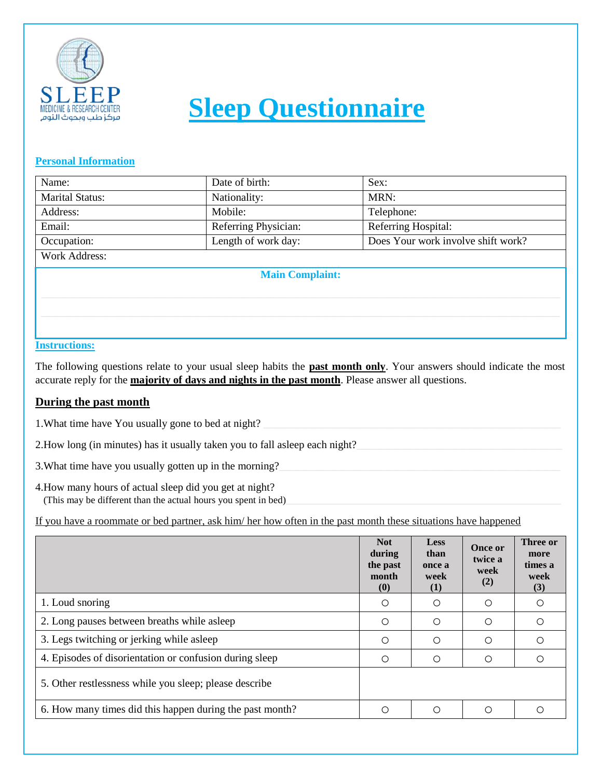

# **Sleep Questionnaire**

### **Personal Information**

| Name:                  | Date of birth:                                            | Sex: |  |  |  |
|------------------------|-----------------------------------------------------------|------|--|--|--|
| <b>Marital Status:</b> | MRN:<br>Nationality:                                      |      |  |  |  |
| Address:               | Mobile:<br>Telephone:                                     |      |  |  |  |
| Email:                 | Referring Physician:<br>Referring Hospital:               |      |  |  |  |
| Occupation:            | Length of work day:<br>Does Your work involve shift work? |      |  |  |  |
| <b>Work Address:</b>   |                                                           |      |  |  |  |
| <b>Main Complaint:</b> |                                                           |      |  |  |  |
|                        |                                                           |      |  |  |  |
|                        |                                                           |      |  |  |  |
|                        |                                                           |      |  |  |  |

### **Instructions:**

The following questions relate to your usual sleep habits the **past month only**. Your answers should indicate the most accurate reply for the **majority of days and nights in the past month**. Please answer all questions.

## **During the past month**

1. What time have You usually gone to bed at night?

2. How long (in minutes) has it usually taken you to fall asleep each night?

3. What time have you usually gotten up in the morning?

4.How many hours of actual sleep did you get at night? (This may be different than the actual hours you spent in bed)

If you have a roommate or bed partner, ask him/ her how often in the past month these situations have happened

|                                                          | <b>Not</b><br>during<br>the past<br>month<br>(0) | <b>Less</b><br>than<br>once a<br>week<br>(1) | <b>Once or</b><br>twice a<br>week<br>(2) | Three or<br>more<br>times a<br>week<br>(3) |
|----------------------------------------------------------|--------------------------------------------------|----------------------------------------------|------------------------------------------|--------------------------------------------|
| 1. Loud snoring                                          | Ο                                                | $\bigcirc$                                   | ∩                                        |                                            |
| 2. Long pauses between breaths while as leep             | Ο                                                | $\bigcirc$                                   | $\bigcirc$                               |                                            |
| 3. Legs twitching or jerking while asleep                | Ω                                                | $\bigcirc$                                   | $\bigcirc$                               |                                            |
| 4. Episodes of disorientation or confusion during sleep  | ∩                                                | $\bigcirc$                                   | ∩                                        |                                            |
| 5. Other restlessness while you sleep; please describe   |                                                  |                                              |                                          |                                            |
| 6. How many times did this happen during the past month? |                                                  | ∩                                            | ∩                                        |                                            |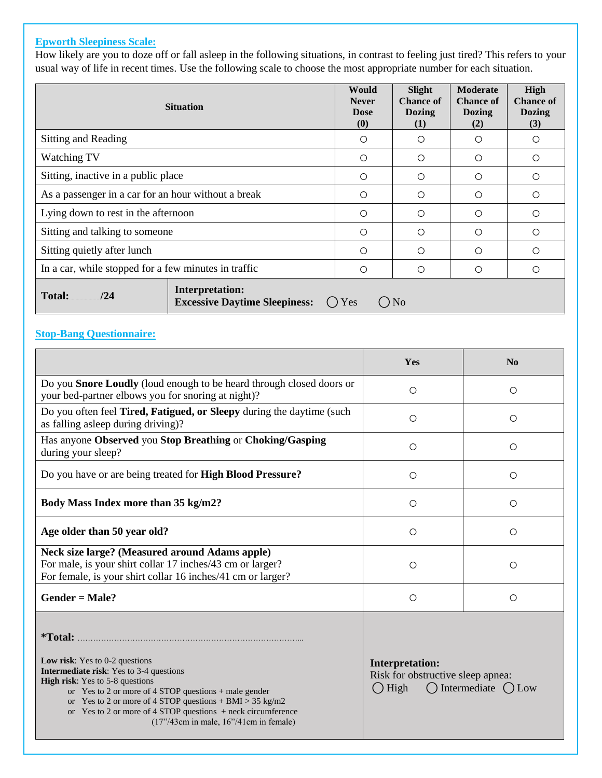#### **Epworth Sleepiness Scale:**

How likely are you to doze off or fall asleep in the following situations, in contrast to feeling just tired? This refers to your usual way of life in recent times. Use the following scale to choose the most appropriate number for each situation.

|                                                      | <b>Situation</b>                                               | Would<br><b>Never</b><br><b>Dose</b><br>$\boldsymbol{\left(0\right)}$ | Slight<br><b>Chance of</b><br><b>Dozing</b><br>(1) | <b>Moderate</b><br><b>Chance of</b><br><b>Dozing</b><br>(2) | High<br><b>Chance of</b><br><b>Dozing</b><br>(3) |
|------------------------------------------------------|----------------------------------------------------------------|-----------------------------------------------------------------------|----------------------------------------------------|-------------------------------------------------------------|--------------------------------------------------|
| Sitting and Reading                                  |                                                                | O                                                                     | $\bigcirc$                                         | $\bigcirc$                                                  | $\bigcirc$                                       |
| Watching TV                                          |                                                                | $\circ$                                                               | $\bigcirc$                                         | $\bigcirc$                                                  | $\circ$                                          |
| Sitting, inactive in a public place                  |                                                                | O                                                                     | $\bigcirc$                                         | $\bigcirc$                                                  | $\bigcirc$                                       |
| As a passenger in a car for an hour without a break  |                                                                | $\bigcirc$                                                            | $\bigcirc$                                         | $\bigcirc$                                                  | $\bigcirc$                                       |
| Lying down to rest in the afternoon                  |                                                                | $\bigcirc$                                                            | $\bigcirc$                                         | $\bigcirc$                                                  | $\bigcirc$                                       |
| Sitting and talking to someone                       |                                                                | $\bigcirc$                                                            | $\bigcirc$                                         | $\bigcirc$                                                  | $\bigcirc$                                       |
| Sitting quietly after lunch                          |                                                                | $\bigcirc$                                                            | $\bigcirc$                                         | $\bigcirc$                                                  | $\bigcirc$                                       |
| In a car, while stopped for a few minutes in traffic |                                                                | O                                                                     | $\bigcirc$                                         | $\bigcirc$                                                  | $\bigcirc$                                       |
| Total:<br>$\frac{124}{2}$                            | <b>Interpretation:</b><br><b>Excessive Daytime Sleepiness:</b> | () Yes                                                                | N <sub>o</sub>                                     |                                                             |                                                  |

#### **Stop-Bang Questionnaire:**

|                                                                                                                                                                                   | <b>Yes</b> | N <sub>0</sub> |
|-----------------------------------------------------------------------------------------------------------------------------------------------------------------------------------|------------|----------------|
| Do you <b>Snore Loudly</b> (loud enough to be heard through closed doors or<br>your bed-partner elbows you for snoring at night)?                                                 | ∩          | ∩              |
| Do you often feel <b>Tired, Fatigued, or Sleepy</b> during the daytime (such<br>as falling as leep during driving)?                                                               | $\bigcirc$ | ∩              |
| Has anyone Observed you Stop Breathing or Choking/Gasping<br>during your sleep?                                                                                                   | ∩          | ∩              |
| Do you have or are being treated for <b>High Blood Pressure?</b>                                                                                                                  | ∩          | ∩              |
| Body Mass Index more than 35 kg/m2?                                                                                                                                               | ∩          | ∩              |
| Age older than 50 year old?                                                                                                                                                       | $\bigcirc$ | ∩              |
| <b>Neck size large? (Measured around Adams apple)</b><br>For male, is your shirt collar 17 inches/43 cm or larger?<br>For female, is your shirt collar 16 inches/41 cm or larger? | ∩          |                |
| $Gender = Male?$                                                                                                                                                                  | ∩          | ∩              |

**\*Total:** …………………………………………………………………………...

**Low risk**: Yes to 0-2 questions **Intermediate risk**: Yes to 3-4 questions **High risk**: Yes to 5-8 questions or Yes to 2 or more of 4 STOP questions + male gender

or Yes to 2 or more of 4 STOP questions + BMI > 35 kg/m2

or Yes to 2 or more of 4 STOP questions + neck circumference

(17"/43cm in male, 16"/41cm in female)

**Interpretation:** Risk for obstructive sleep apnea:

 $\bigcirc$  High  $\bigcirc$  Intermediate  $\bigcirc$  Low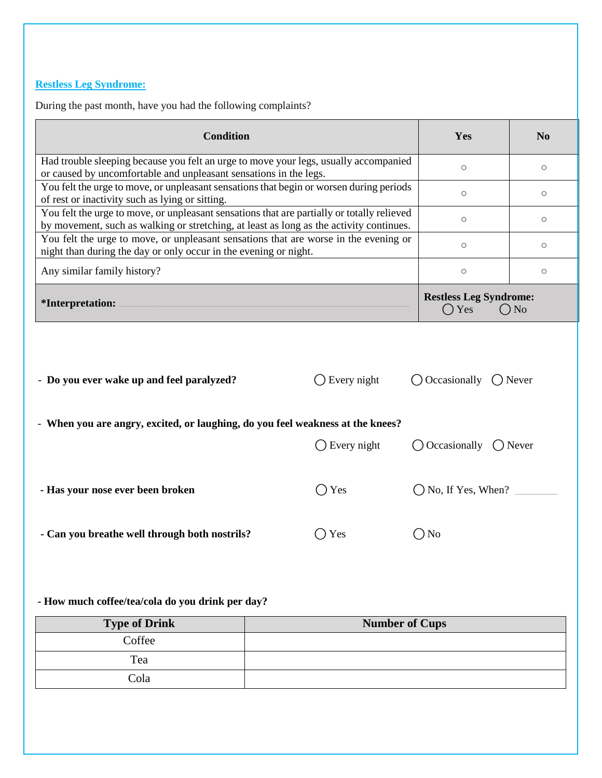# **Restless Leg Syndrome:**

During the past month, have you had the following complaints?

| <b>Condition</b>                                                                                                                                                                      |                        |         | Yes                                            | N <sub>o</sub>  |
|---------------------------------------------------------------------------------------------------------------------------------------------------------------------------------------|------------------------|---------|------------------------------------------------|-----------------|
| Had trouble sleeping because you felt an urge to move your legs, usually accompanied<br>or caused by uncomfortable and unpleasant sensations in the legs.                             |                        | $\circ$ | $\circ$                                        |                 |
| You felt the urge to move, or unpleasant sensations that begin or worsen during periods<br>of rest or inactivity such as lying or sitting.                                            |                        |         | $\bigcirc$                                     | $\bigcirc$      |
| You felt the urge to move, or unpleasant sensations that are partially or totally relieved<br>by movement, such as walking or stretching, at least as long as the activity continues. |                        |         | $\circ$                                        | $\circ$         |
| You felt the urge to move, or unpleasant sensations that are worse in the evening or<br>night than during the day or only occur in the evening or night.                              |                        |         | $\Omega$                                       | $\circ$         |
| Any similar family history?                                                                                                                                                           |                        |         | $\bigcirc$                                     | $\bigcirc$      |
| *Interpretation:                                                                                                                                                                      |                        |         | <b>Restless Leg Syndrome:</b><br>$\bigcap$ Yes | $\overline{ON}$ |
|                                                                                                                                                                                       |                        |         |                                                |                 |
|                                                                                                                                                                                       | $\bigcap$ Every night  |         | $\bigcap$ Occasionally $\bigcap$ Never         |                 |
| - Do you ever wake up and feel paralyzed?<br>- When you are angry, excited, or laughing, do you feel weakness at the knees?                                                           | $\bigcirc$ Every night |         | $\bigcirc$ Occasionally $\bigcirc$ Never       |                 |
| - Has your nose ever been broken                                                                                                                                                      | $\bigcirc$ Yes         |         | $\bigcap$ No, If Yes, When? $\Box$             |                 |
| - Can you breathe well through both nostrils?                                                                                                                                         | $\bigcirc$ Yes         |         | ∩No                                            |                 |

 **- How much coffee/tea/cola do you drink per day?**

| <b>Type of Drink</b> | <b>Number of Cups</b> |
|----------------------|-----------------------|
| Coffee               |                       |
| Tea                  |                       |
| Cola                 |                       |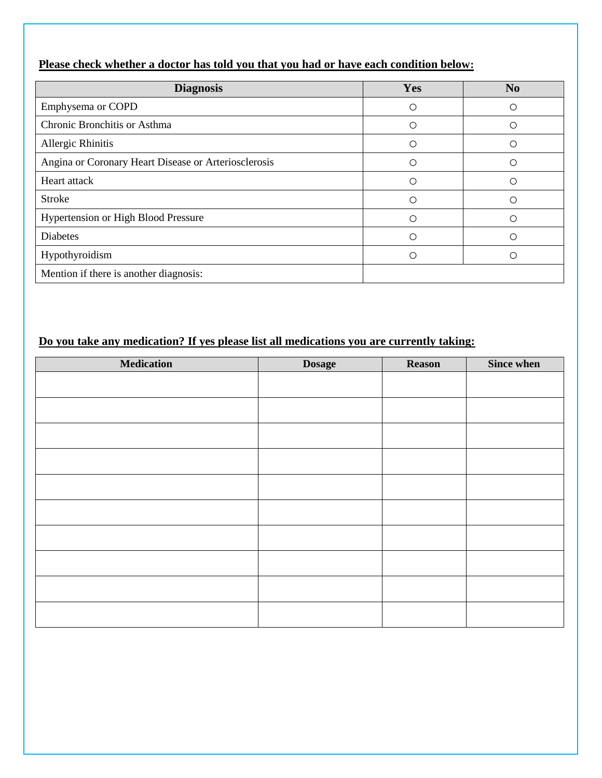| Please check whether a doctor has told you that you had or have each condition below: |
|---------------------------------------------------------------------------------------|
|---------------------------------------------------------------------------------------|

| <b>Diagnosis</b>                                     | Yes | N <sub>0</sub>   |
|------------------------------------------------------|-----|------------------|
| Emphysema or COPD                                    | ∩   |                  |
| Chronic Bronchitis or Asthma                         | ()  | ()               |
| Allergic Rhinitis                                    | Ω   | $\left( \right)$ |
| Angina or Coronary Heart Disease or Arteriosclerosis | ( ) |                  |
| Heart attack                                         | ∩   | $\bigcirc$       |
| <b>Stroke</b>                                        | ∩   |                  |
| <b>Hypertension or High Blood Pressure</b>           | €.  |                  |
| <b>Diabetes</b>                                      | Ω   | ∩                |
| Hypothyroidism                                       |     |                  |
| Mention if there is another diagnosis:               |     |                  |

# **Do you take any medication? If yes please list all medications you are currently taking:**

| <b>Medication</b> | <b>Dosage</b> | Reason | <b>Since when</b> |
|-------------------|---------------|--------|-------------------|
|                   |               |        |                   |
|                   |               |        |                   |
|                   |               |        |                   |
|                   |               |        |                   |
|                   |               |        |                   |
|                   |               |        |                   |
|                   |               |        |                   |
|                   |               |        |                   |
|                   |               |        |                   |
|                   |               |        |                   |